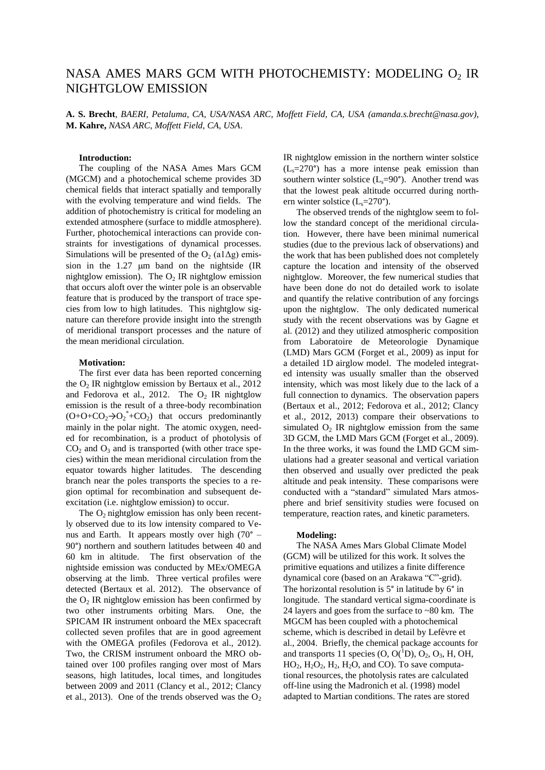# NASA AMES MARS GCM WITH PHOTOCHEMISTY: MODELING O2 IR NIGHTGLOW EMISSION

**A. S. Brecht**, *BAERI, Petaluma, CA, USA/NASA ARC, Moffett Field, CA, USA (amanda.s.brecht@nasa.gov)*, **M. Kahre,** *NASA ARC, Moffett Field, CA, USA*.

## **Introduction:**

The coupling of the NASA Ames Mars GCM (MGCM) and a photochemical scheme provides 3D chemical fields that interact spatially and temporally with the evolving temperature and wind fields. The addition of photochemistry is critical for modeling an extended atmosphere (surface to middle atmosphere). Further, photochemical interactions can provide constraints for investigations of dynamical processes. Simulations will be presented of the  $O_2$  (a1 $\Delta$ g) emission in the  $1.27 \mu m$  band on the nightside (IR nightglow emission). The  $O_2$  IR nightglow emission that occurs aloft over the winter pole is an observable feature that is produced by the transport of trace species from low to high latitudes. This nightglow signature can therefore provide insight into the strength of meridional transport processes and the nature of the mean meridional circulation.

#### **Motivation:**

The first ever data has been reported concerning the  $O_2$  IR nightglow emission by Bertaux et al., 2012 and Fedorova et al., 2012. The  $O<sub>2</sub>$  IR nightglow emission is the result of a three-body recombination  $(O+O+CO_2 \rightarrow O_2^* + CO_2)$  that occurs predominantly mainly in the polar night. The atomic oxygen, needed for recombination, is a product of photolysis of  $CO<sub>2</sub>$  and  $O<sub>3</sub>$  and is transported (with other trace species) within the mean meridional circulation from the equator towards higher latitudes. The descending branch near the poles transports the species to a region optimal for recombination and subsequent deexcitation (i.e. nightglow emission) to occur.

The  $O_2$  nightglow emission has only been recently observed due to its low intensity compared to Venus and Earth. It appears mostly over high (70° – 90°) northern and southern latitudes between 40 and 60 km in altitude. The first observation of the nightside emission was conducted by MEx/OMEGA observing at the limb. Three vertical profiles were detected (Bertaux et al. 2012). The observance of the  $O_2$  IR nightglow emission has been confirmed by two other instruments orbiting Mars. One, the SPICAM IR instrument onboard the MEx spacecraft collected seven profiles that are in good agreement with the OMEGA profiles (Fedorova et al., 2012). Two, the CRISM instrument onboard the MRO obtained over 100 profiles ranging over most of Mars seasons, high latitudes, local times, and longitudes between 2009 and 2011 (Clancy et al., 2012; Clancy et al., 2013). One of the trends observed was the  $O_2$  IR nightglow emission in the northern winter solstice  $(L<sub>s</sub>=270<sup>o</sup>)$  has a more intense peak emission than southern winter solstice  $(L_s=90^\circ)$ . Another trend was that the lowest peak altitude occurred during northern winter solstice  $(L_s=270^\circ)$ .

The observed trends of the nightglow seem to follow the standard concept of the meridional circulation. However, there have been minimal numerical studies (due to the previous lack of observations) and the work that has been published does not completely capture the location and intensity of the observed nightglow. Moreover, the few numerical studies that have been done do not do detailed work to isolate and quantify the relative contribution of any forcings upon the nightglow. The only dedicated numerical study with the recent observations was by Gagne et al. (2012) and they utilized atmospheric composition from Laboratoire de Meteorologie Dynamique (LMD) Mars GCM (Forget et al., 2009) as input for a detailed 1D airglow model. The modeled integrated intensity was usually smaller than the observed intensity, which was most likely due to the lack of a full connection to dynamics. The observation papers (Bertaux et al., 2012; Fedorova et al., 2012; Clancy et al., 2012, 2013) compare their observations to simulated  $O<sub>2</sub>$  IR nightglow emission from the same 3D GCM, the LMD Mars GCM (Forget et al., 2009). In the three works, it was found the LMD GCM simulations had a greater seasonal and vertical variation then observed and usually over predicted the peak altitude and peak intensity. These comparisons were conducted with a "standard" simulated Mars atmosphere and brief sensitivity studies were focused on temperature, reaction rates, and kinetic parameters.

#### **Modeling:**

The NASA Ames Mars Global Climate Model (GCM) will be utilized for this work. It solves the primitive equations and utilizes a finite difference dynamical core (based on an Arakawa "C"-grid). The horizontal resolution is 5° in latitude by 6° in longitude. The standard vertical sigma-coordinate is 24 layers and goes from the surface to ~80 km. The MGCM has been coupled with a photochemical scheme, which is described in detail by Lefèvre et al., 2004. Briefly, the chemical package accounts for and transports 11 species  $(O, O(^1D), O_2, O_3, H, OH,$  $HO_2$ ,  $H_2O_2$ ,  $H_2$ ,  $H_2O$ , and CO). To save computational resources, the photolysis rates are calculated off-line using the Madronich et al. (1998) model adapted to Martian conditions. The rates are stored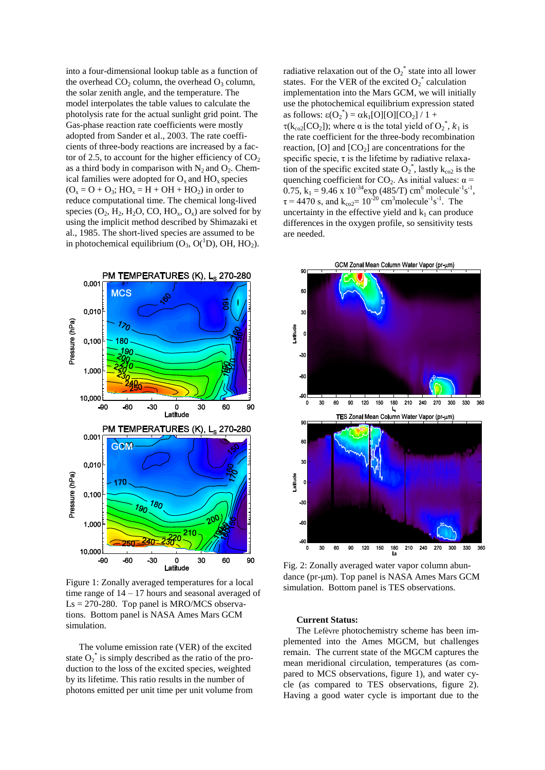into a four-dimensional lookup table as a function of the overhead  $CO<sub>2</sub>$  column, the overhead  $O<sub>3</sub>$  column, the solar zenith angle, and the temperature. The model interpolates the table values to calculate the photolysis rate for the actual sunlight grid point. The Gas-phase reaction rate coefficients were mostly adopted from Sander et al., 2003. The rate coefficients of three-body reactions are increased by a factor of 2.5, to account for the higher efficiency of  $CO<sub>2</sub>$ as a third body in comparison with  $N_2$  and  $O_2$ . Chemical families were adopted for  $O_x$  and  $HO_x$  species  $(O_x = O + O_3$ ;  $HO_x = H + OH + HO_2)$  in order to reduce computational time. The chemical long-lived species  $(O_2, H_2, H_2O, CO, HO_x, O_x)$  are solved for by using the implicit method described by Shimazaki et al., 1985. The short-lived species are assumed to be in photochemical equilibrium  $(O_3, O(^1D), OH, HO_2)$ .



Figure 1: Zonally averaged temperatures for a local time range of 14 – 17 hours and seasonal averaged of  $\text{Ls} = 270-280$ . Top panel is MRO/MCS observations. Bottom panel is NASA Ames Mars GCM simulation.

The volume emission rate (VER) of the excited state  $O_2^*$  is simply described as the ratio of the production to the loss of the excited species, weighted by its lifetime. This ratio results in the number of photons emitted per unit time per unit volume from radiative relaxation out of the  $O_2^*$  state into all lower states. For the VER of the excited  $O_2^*$  calculation implementation into the Mars GCM, we will initially use the photochemical equilibrium expression stated as follows:  $\epsilon(O_2^*) = \alpha k_1[O][O][CO_2] / 1 +$  $\tau(k_{\rm co2}[CO_2])$ ; where  $\alpha$  is the total yield of  $O_2^*$ ,  $k_1$  is the rate coefficient for the three-body recombination reaction,  $[O]$  and  $[CO<sub>2</sub>]$  are concentrations for the specific specie,  $\tau$  is the lifetime by radiative relaxation of the specific excited state  $O_2^*$ , lastly  $k_{\text{co2}}$  is the quenching coefficient for  $CO_2$ . As initial values:  $\alpha$  = 0.75,  $k_1 = 9.46 \times 10^{-34}$  exp (485/T) cm<sup>6</sup> molecule<sup>-1</sup>s<sup>-1</sup>,  $\tau = 4470$  s, and  $k_{\text{co2}} = 10^{-20}$  cm<sup>3</sup>molecule<sup>-1</sup>s<sup>-1</sup>. The uncertainty in the effective yield and  $k_1$  can produce differences in the oxygen profile, so sensitivity tests are needed.



Fig. 2: Zonally averaged water vapor column abundance (pr-µm). Top panel is NASA Ames Mars GCM simulation. Bottom panel is TES observations.

#### **Current Status:**

The Lefèvre photochemistry scheme has been implemented into the Ames MGCM, but challenges remain. The current state of the MGCM captures the mean meridional circulation, temperatures (as compared to MCS observations, figure 1), and water cycle (as compared to TES observations, figure 2). Having a good water cycle is important due to the